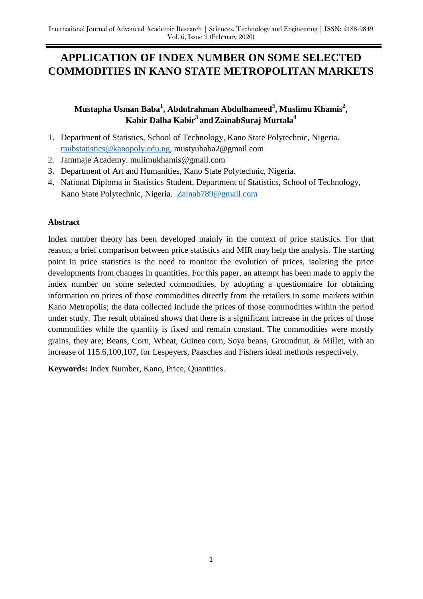# **APPLICATION OF INDEX NUMBER ON SOME SELECTED COMMODITIES IN KANO STATE METROPOLITAN MARKETS**

# **Mustapha Usman Baba<sup>1</sup> , Abdulrahman Abdulhameed<sup>3</sup> , Muslimu Khamis<sup>2</sup> , Kabir Dalha Kabir<sup>3</sup> and ZainabSuraj Murtala<sup>4</sup>**

- 1. Department of Statistics, School of Technology, Kano State Polytechnic, Nigeria. [mubstatistics@kanopoly.edu.ng,](mailto:mubstatistics@kanopoly.edu.ng) mustyubaba2@gmail.com
- 2. Jammaje Academy. mulimukhamis@gmail.com
- 3. Department of Art and Humanities, Kano State Polytechnic, Nigeria.
- 4. National Diploma in Statistics Student, Department of Statistics, School of Technology, Kano State Polytechnic, Nigeria. [Zainab789@gmail.com](mailto:Zainab789@gmail.com)

# **Abstract**

Index number theory has been developed mainly in the context of price statistics. For that reason, a brief comparison between price statistics and MIR may help the analysis. The starting point in price statistics is the need to monitor the evolution of prices, isolating the price developments from changes in quantities. For this paper, an attempt has been made to apply the index number on some selected commodities, by adopting a questionnaire for obtaining information on prices of those commodities directly from the retailers in some markets within Kano Metropolis; the data collected include the prices of those commodities within the period under study. The result obtained shows that there is a significant increase in the prices of those commodities while the quantity is fixed and remain constant. The commodities were mostly grains, they are; Beans, Corn, Wheat, Guinea corn, Soya beans, Groundnut, & Millet, with an increase of 115.6,100,107, for Lespeyers, Paasches and Fishers ideal methods respectively.

**Keywords:** Index Number, Kano, Price, Quantities.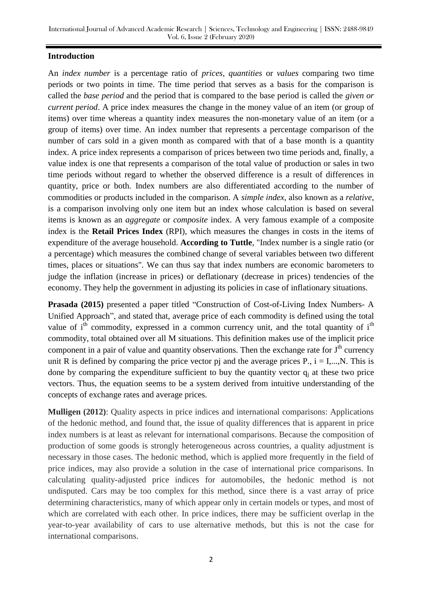#### **Introduction**

An *index number* is a percentage ratio of *prices*, *quantities* or *values* comparing two time periods or two points in time. The time period that serves as a basis for the comparison is called the *base period* and the period that is compared to the base period is called the *given or current period*. A price index measures the change in the money value of an item (or group of items) over time whereas a quantity index measures the non-monetary value of an item (or a group of items) over time. An index number that represents a percentage comparison of the number of cars sold in a given month as compared with that of a base month is a quantity index. A price index represents a comparison of prices between two time periods and, finally, a value index is one that represents a comparison of the total value of production or sales in two time periods without regard to whether the observed difference is a result of differences in quantity, price or both. Index numbers are also differentiated according to the number of commodities or products included in the comparison. A *simple index*, also known as a *relative*, is a comparison involving only one item but an index whose calculation is based on several items is known as an *aggregate* or *composite* index. A very famous example of a composite index is the **Retail Prices Index** (RPI), which measures the changes in costs in the items of expenditure of the average household. **According to Tuttle**, "Index number is a single ratio (or a percentage) which measures the combined change of several variables between two different times, places or situations". We can thus say that index numbers are economic barometers to judge the inflation (increase in prices) or deflationary (decrease in prices) tendencies of the economy. They help the government in adjusting its policies in case of inflationary situations.

**Prasada (2015)** presented a paper titled "Construction of Cost-of-Living Index Numbers- A Unified Approach", and stated that, average price of each commodity is defined using the total value of i<sup>th</sup> commodity, expressed in a common currency unit, and the total quantity of i<sup>th</sup> commodity, total obtained over all M situations. This definition makes use of the implicit price component in a pair of value and quantity observations. Then the exchange rate for  $J<sup>th</sup>$  currency unit R is defined by comparing the price vector pj and the average prices P.,  $i = I, \dots, N$ . This is done by comparing the expenditure sufficient to buy the quantity vector  $q_i$  at these two price vectors. Thus, the equation seems to be a system derived from intuitive understanding of the concepts of exchange rates and average prices.

**Mulligen (2012)**: Quality aspects in price indices and international comparisons: Applications of the hedonic method, and found that, the issue of quality differences that is apparent in price index numbers is at least as relevant for international comparisons. Because the composition of production of some goods is strongly heterogeneous across countries, a quality adjustment is necessary in those cases. The hedonic method, which is applied more frequently in the field of price indices, may also provide a solution in the case of international price comparisons. In calculating quality-adjusted price indices for automobiles, the hedonic method is not undisputed. Cars may be too complex for this method, since there is a vast array of price determining characteristics, many of which appear only in certain models or types, and most of which are correlated with each other. In price indices, there may be sufficient overlap in the year-to-year availability of cars to use alternative methods, but this is not the case for international comparisons.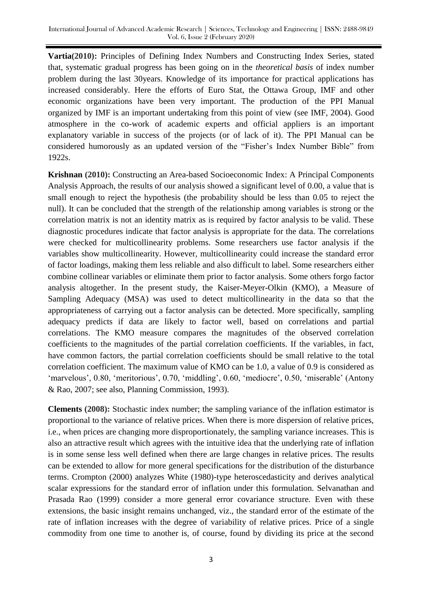**Vartia(2010):** Principles of Defining Index Numbers and Constructing Index Series, stated that, systematic gradual progress has been going on in the *theoretical basis* of index number problem during the last 30years. Knowledge of its importance for practical applications has increased considerably. Here the efforts of Euro Stat, the Ottawa Group, IMF and other economic organizations have been very important. The production of the PPI Manual organized by IMF is an important undertaking from this point of view (see IMF, 2004). Good atmosphere in the co-work of academic experts and official appliers is an important explanatory variable in success of the projects (or of lack of it). The PPI Manual can be considered humorously as an updated version of the "Fisher"s Index Number Bible" from 1922s.

**Krishnan (2010):** Constructing an Area-based Socioeconomic Index: A Principal Components Analysis Approach, the results of our analysis showed a significant level of 0.00, a value that is small enough to reject the hypothesis (the probability should be less than 0.05 to reject the null). It can be concluded that the strength of the relationship among variables is strong or the correlation matrix is not an identity matrix as is required by factor analysis to be valid. These diagnostic procedures indicate that factor analysis is appropriate for the data. The correlations were checked for multicollinearity problems. Some researchers use factor analysis if the variables show multicollinearity. However, multicollinearity could increase the standard error of factor loadings, making them less reliable and also difficult to label. Some researchers either combine collinear variables or eliminate them prior to factor analysis. Some others forgo factor analysis altogether. In the present study, the Kaiser-Meyer-Olkin (KMO), a Measure of Sampling Adequacy (MSA) was used to detect multicollinearity in the data so that the appropriateness of carrying out a factor analysis can be detected. More specifically, sampling adequacy predicts if data are likely to factor well, based on correlations and partial correlations. The KMO measure compares the magnitudes of the observed correlation coefficients to the magnitudes of the partial correlation coefficients. If the variables, in fact, have common factors, the partial correlation coefficients should be small relative to the total correlation coefficient. The maximum value of KMO can be 1.0, a value of 0.9 is considered as "marvelous", 0.80, "meritorious", 0.70, "middling", 0.60, "mediocre", 0.50, "miserable" (Antony & Rao, 2007; see also, Planning Commission, 1993).

**Clements (2008):** Stochastic index number; the sampling variance of the inflation estimator is proportional to the variance of relative prices. When there is more dispersion of relative prices, i.e., when prices are changing more disproportionately, the sampling variance increases. This is also an attractive result which agrees with the intuitive idea that the underlying rate of inflation is in some sense less well defined when there are large changes in relative prices. The results can be extended to allow for more general specifications for the distribution of the disturbance terms. Crompton (2000) analyzes White (1980)-type heteroscedasticity and derives analytical scalar expressions for the standard error of inflation under this formulation. Selvanathan and Prasada Rao (1999) consider a more general error covariance structure. Even with these extensions, the basic insight remains unchanged, viz., the standard error of the estimate of the rate of inflation increases with the degree of variability of relative prices. Price of a single commodity from one time to another is, of course, found by dividing its price at the second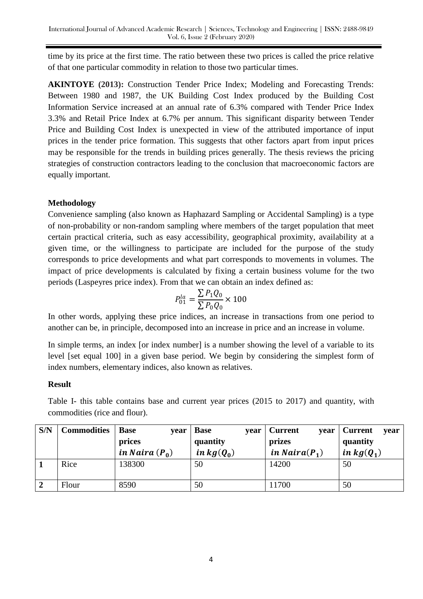time by its price at the first time. The ratio between these two prices is called the price relative of that one particular commodity in relation to those two particular times.

**AKINTOYE (2013):** Construction Tender Price Index; Modeling and Forecasting Trends: Between 1980 and 1987, the UK Building Cost Index produced by the Building Cost Information Service increased at an annual rate of 6.3% compared with Tender Price Index 3.3% and Retail Price Index at 6.7% per annum. This significant disparity between Tender Price and Building Cost Index is unexpected in view of the attributed importance of input prices in the tender price formation. This suggests that other factors apart from input prices may be responsible for the trends in building prices generally. The thesis reviews the pricing strategies of construction contractors leading to the conclusion that macroeconomic factors are equally important.

# **Methodology**

Convenience sampling (also known as Haphazard Sampling or Accidental Sampling) is a type of non-probability or non-random sampling where members of the target population that meet certain practical criteria, such as easy accessibility, geographical proximity, availability at a given time, or the willingness to participate are included for the purpose of the study corresponds to price developments and what part corresponds to movements in volumes. The impact of price developments is calculated by fixing a certain business volume for the two periods (Laspeyres price index). From that we can obtain an index defined as:

$$
P_{01}^{la} = \frac{\sum P_1 Q_0}{\sum P_0 Q_0} \times 100
$$

In other words, applying these price indices, an increase in transactions from one period to another can be, in principle, decomposed into an increase in price and an increase in volume.

In simple terms, an index [or index number] is a number showing the level of a variable to its level [set equal 100] in a given base period. We begin by considering the simplest form of index numbers, elementary indices, also known as relatives.

#### **Result**

Table I- this table contains base and current year prices (2015 to 2017) and quantity, with commodities (rice and flour).

| S/N | <b>Commodities</b> | <b>Base</b><br>year | <b>Base</b><br>vear | <b>Current</b><br>vear | Current<br>year |
|-----|--------------------|---------------------|---------------------|------------------------|-----------------|
|     |                    | prices              | quantity            | prizes                 | quantity        |
|     |                    | in Naira $(P_0)$    | in $kg(Q_0)$        | in Naira $(P_1)$       | in $kg(Q_1)$    |
|     | Rice               | 138300              | 50                  | 14200                  | 50              |
|     |                    |                     |                     |                        |                 |
|     | Flour              | 8590                | 50                  | 11700                  | 50              |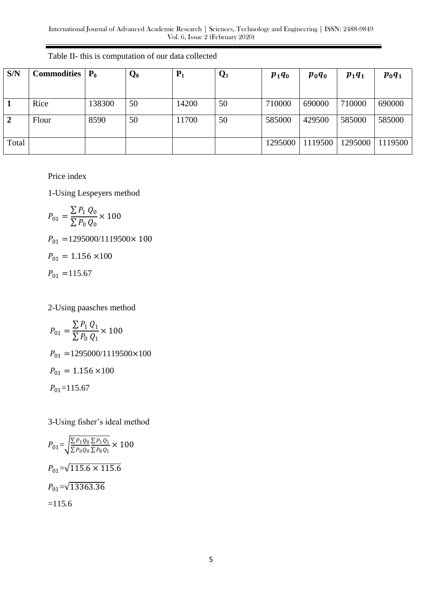| S/N          | <b>Commodities</b> | $P_0$  | $\mathbf{Q_0}$ | $P_1$ | $\mathbf{Q}_1$ | $p_1q_0$ | $p_0q_0$ | $p_1q_1$ | $p_0q_1$ |
|--------------|--------------------|--------|----------------|-------|----------------|----------|----------|----------|----------|
|              |                    |        |                |       |                |          |          |          |          |
|              | Rice               | 138300 | 50             | 14200 | 50             | 710000   | 690000   | 710000   | 690000   |
| $\mathbf{2}$ | Flour              | 8590   | 50             | 11700 | 50             | 585000   | 429500   | 585000   | 585000   |
| Total        |                    |        |                |       |                | 1295000  | 1119500  | 1295000  | 1119500  |

Table II- this is computation of our data collected

Price index

1-Using Lespeyers method

$$
P_{01} = \frac{\sum P_1 Q_0}{\sum P_0 Q_0} \times 100
$$
  
\n
$$
P_{01} = 1295000/1119500 \times 100
$$
  
\n
$$
P_{01} = 1.156 \times 100
$$
  
\n
$$
P_{01} = 115.67
$$

2-Using paasches method

$$
P_{01} = \frac{\sum P_1 Q_1}{\sum P_0 Q_1} \times 100
$$
  
\n
$$
P_{01} = 1295000/1119500 \times 100
$$
  
\n
$$
P_{01} = 1.156 \times 100
$$
  
\n
$$
P_{01} = 115.67
$$

3-Using fisher"s ideal method

$$
P_{01} = \sqrt{\frac{\sum P_1 Q_0 \sum P_1 Q_1}{\sum P_0 Q_0 \sum P_0 Q_1}} \times 100
$$
  
\n
$$
P_{01} = \sqrt{115.6 \times 115.6}
$$
  
\n
$$
P_{01} = \sqrt{13363.36}
$$
  
\n=115.6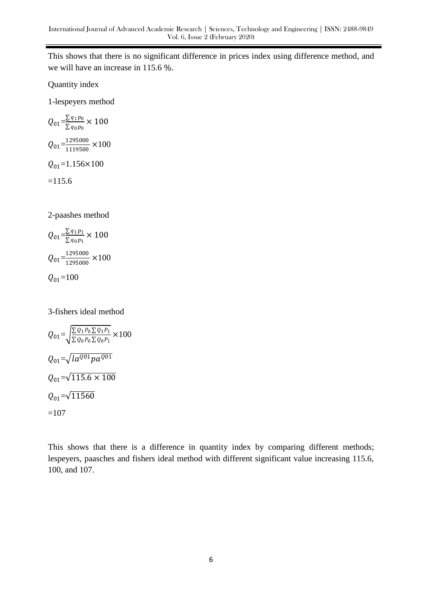This shows that there is no significant difference in prices index using difference method, and we will have an increase in 115.6 %.

Quantity index

1-lespeyers method

$$
Q_{01} = \frac{\sum q_1 p_0}{\sum q_0 p_0} \times 100
$$
  
\n
$$
Q_{01} = \frac{1295000}{1119500} \times 100
$$
  
\n
$$
Q_{01} = 1.156 \times 100
$$
  
\n=115.6

2-paashes method

$$
Q_{01} = \frac{\sum q_1 p_1}{\sum q_0 p_1} \times 100
$$
  

$$
Q_{01} = \frac{1295000}{1295000} \times 100
$$
  

$$
Q_{01} = 100
$$

3-fishers ideal method

$$
Q_{01} = \sqrt{\frac{\sum Q_1 P_0 \sum Q_1 P_1}{\sum Q_0 P_0 \sum Q_0 P_1}} \times 100
$$
  
\n
$$
Q_{01} = \sqrt{I a^{Q01} p a^{Q01}}
$$
  
\n
$$
Q_{01} = \sqrt{115.6 \times 100}
$$
  
\n
$$
Q_{01} = \sqrt{11560}
$$
  
\n=107

This shows that there is a difference in quantity index by comparing different methods; lespeyers, paasches and fishers ideal method with different significant value increasing 115.6, 100, and 107.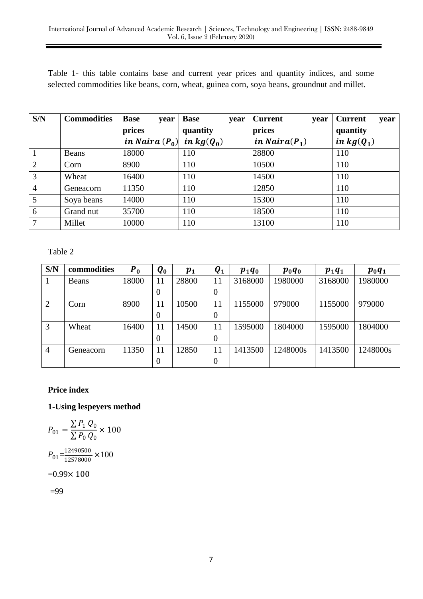Table 1- this table contains base and current year prices and quantity indices, and some selected commodities like beans, corn, wheat, guinea corn, soya beans, groundnut and millet.

| S/N            | <b>Commodities</b> | <b>Base</b><br>year           | <b>Base</b><br>year | <b>Current</b><br>year | <b>Current</b><br>year |
|----------------|--------------------|-------------------------------|---------------------|------------------------|------------------------|
|                |                    | prices                        | quantity            | prices                 | quantity               |
|                |                    | in Naira $(P_0)$ in $kg(Q_0)$ |                     | in Naira $(P_1)$       | in $kg(Q_1)$           |
|                | Beans              | 18000                         | 110                 | 28800                  | 110                    |
| 2              | Corn               | 8900                          | 110                 | 10500                  | 110                    |
| 3              | Wheat              | 16400                         | 110                 | 14500                  | 110                    |
| $\overline{4}$ | Geneacorn          | 11350                         | 110                 | 12850                  | 110                    |
| 5              | Soya beans         | 14000                         | 110                 | 15300                  | 110                    |
| 6              | Grand nut          | 35700                         | 110                 | 18500                  | 110                    |
| 7              | Millet             | 10000                         | 110                 | 13100                  | 110                    |

Table 2

| S/N            | commodities | $P_0$ | $\boldsymbol{Q_0}$ | $\boldsymbol{p_1}$ | $\boldsymbol{Q}_1$ | $p_1q_0$ | $p_0q_0$ | $p_1q_1$ | $p_0q_1$ |
|----------------|-------------|-------|--------------------|--------------------|--------------------|----------|----------|----------|----------|
|                | Beans       | 18000 | 11                 | 28800              | 11                 | 3168000  | 1980000  | 3168000  | 1980000  |
|                |             |       | $\boldsymbol{0}$   |                    | $\theta$           |          |          |          |          |
| 2              | Corn        | 8900  | 11                 | 10500              | 11                 | 1155000  | 979000   | 1155000  | 979000   |
|                |             |       | $\theta$           |                    | $\theta$           |          |          |          |          |
| 3              | Wheat       | 16400 | 11                 | 14500              | 11                 | 1595000  | 1804000  | 1595000  | 1804000  |
|                |             |       | $\boldsymbol{0}$   |                    | $\theta$           |          |          |          |          |
| $\overline{4}$ | Geneacorn   | 11350 | 11                 | 12850              | 11                 | 1413500  | 1248000s | 1413500  | 1248000s |
|                |             |       | $\boldsymbol{0}$   |                    | $\theta$           |          |          |          |          |

#### **Price index**

**1-Using lespeyers method**

$$
P_{01} = \frac{\sum P_1 Q_0}{\sum P_0 Q_0} \times 100
$$

$$
P_{01} = \frac{12490500}{12578000} \times 100
$$

$$
= 0.99 \times 100
$$

=99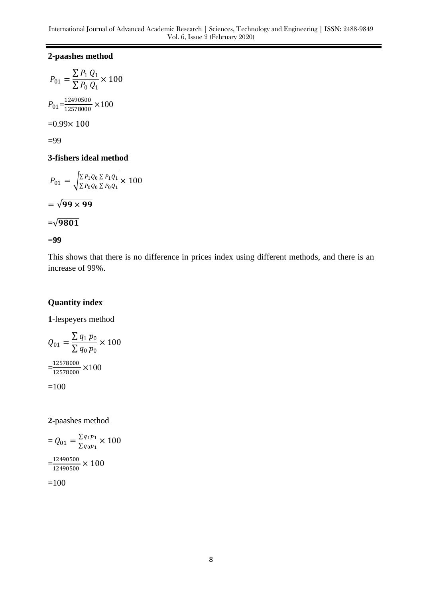#### **2-paashes method**

$$
P_{01} = \frac{\sum P_1 Q_1}{\sum P_0 Q_1} \times 100
$$

$$
P_{01} = \frac{12490500}{12578000} \times 100
$$

$$
= 0.99 \times 100
$$

 $=99$ 

#### **3-fishers ideal method**

$$
P_{01} = \sqrt{\frac{\sum P_1 Q_0 \sum P_1 Q_1}{\sum P_0 Q_0 \sum P_0 Q_1}} \times 100
$$

$$
= \sqrt{99 \times 99}
$$

$$
=\sqrt{9801}
$$

**=99**

This shows that there is no difference in prices index using different methods, and there is an increase of 99%.

# **Quantity index**

**1**-lespeyers method

$$
Q_{01} = \frac{\sum q_1 p_0}{\sum q_0 p_0} \times 100
$$

$$
= \frac{12578000}{12578000} \times 100
$$

$$
= 100
$$

**2**-paashes method

$$
= Q_{01} = \frac{\sum q_1 p_1}{\sum q_0 p_1} \times 100
$$

$$
= \frac{12490500}{12490500} \times 100
$$

$$
=100
$$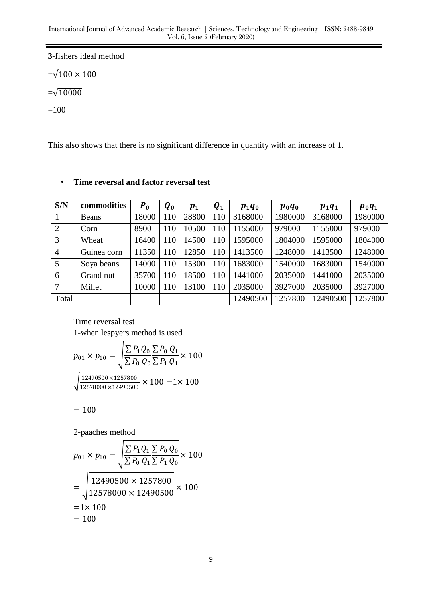**3**-fishers ideal method

 $=\sqrt{100 \times 100}$ 

 $=\sqrt{10000}$ 

=100

This also shows that there is no significant difference in quantity with an increase of 1.

| S/N            | commodities  | $P_0$ | $\boldsymbol{Q_0}$ | $\boldsymbol{p_1}$ | $\boldsymbol{Q}_1$ | $p_1q_0$ | $p_0q_0$ | $p_1q_1$ | $p_0q_1$ |
|----------------|--------------|-------|--------------------|--------------------|--------------------|----------|----------|----------|----------|
|                | <b>Beans</b> | 18000 | 110                | 28800              | 110                | 3168000  | 1980000  | 3168000  | 1980000  |
| 2              | Corn         | 8900  | 110                | 10500              | 110                | 1155000  | 979000   | 1155000  | 979000   |
| 3              | Wheat        | 16400 | 110                | 14500              | 110                | 1595000  | 1804000  | 1595000  | 1804000  |
| $\overline{4}$ | Guinea corn  | 11350 | 110                | 12850              | 110                | 1413500  | 1248000  | 1413500  | 1248000  |
| 5              | Soya beans   | 14000 | 110                | 15300              | 110                | 1683000  | 1540000  | 1683000  | 1540000  |
| 6              | Grand nut    | 35700 | 110                | 18500              | 110                | 1441000  | 2035000  | 1441000  | 2035000  |
| 7              | Millet       | 10000 | 110                | 13100              | 110                | 2035000  | 3927000  | 2035000  | 3927000  |
| Total          |              |       |                    |                    |                    | 12490500 | 1257800  | 12490500 | 1257800  |

#### • **Time reversal and factor reversal test**

Time reversal test 1-when lespyers method is used

$$
p_{01} \times p_{10} = \sqrt{\frac{\sum P_1 Q_0}{\sum P_0 Q_0} \frac{\sum P_0 Q_1}{\sum P_1 Q_1}} \times 100
$$
  

$$
\sqrt{\frac{12490500 \times 1257800}{12578000 \times 12490500}} \times 100 = 1 \times 100
$$

 $= 100$ 

2-paaches method

$$
p_{01} \times p_{10} = \sqrt{\frac{\sum P_1 Q_1 \sum P_0 Q_0}{\sum P_1 Q_0}} \times 100
$$
  
= 
$$
\sqrt{\frac{12490500 \times 1257800}{12578000 \times 12490500}} \times 100
$$
  
= 1 × 100  
= 100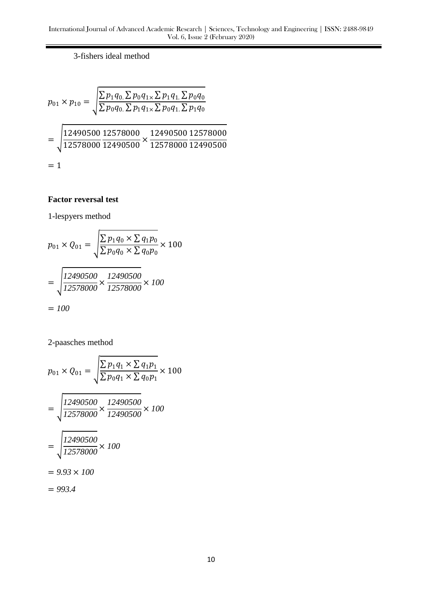3-fishers ideal method

$$
p_{01} \times p_{10} = \sqrt{\frac{\sum p_1 q_0 \sum p_0 q_{1 \times} \sum p_1 q_{1} \sum p_0 q_0}{\sum p_0 q_0 \sum p_1 q_{1 \times} \sum p_0 q_{1} \sum p_1 q_0}}
$$
  
= 
$$
\sqrt{\frac{12490500}{12578000} \frac{12578000}{12490500} \times \frac{12490500}{12578000} \frac{12578000}{12490500}}
$$
  
= 1

# **Factor reversal test**

1-lespyers method

$$
p_{01} \times Q_{01} = \sqrt{\frac{\sum p_1 q_0 \times \sum q_1 p_0}{\sum p_0 q_0 \times \sum q_0 p_0}} \times 100
$$
  
= 
$$
\sqrt{\frac{12490500}{12578000}} \times \frac{12490500}{12578000} \times 100
$$
  
= 100

2-paasches method

$$
p_{01} \times Q_{01} = \sqrt{\frac{\sum p_1 q_1 \times \sum q_1 p_1}{\sum p_0 q_1 \times \sum q_0 p_1} \times 100}
$$
  
= 
$$
\sqrt{\frac{12490500}{12578000} \times \frac{12490500}{12490500}} \times 100
$$
  
= 
$$
\sqrt{\frac{12490500}{12578000}} \times 100
$$
  
= 9.93 × 100  
= 993.4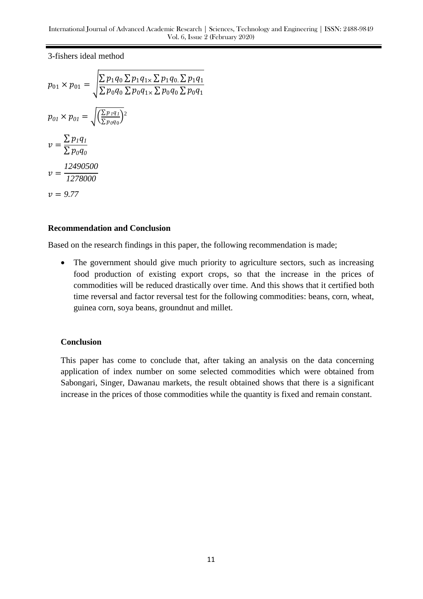3-fishers ideal method

$$
p_{01} \times p_{01} = \sqrt{\frac{\sum p_1 q_0 \sum p_1 q_1 \times \sum p_1 q_0 \sum p_1 q_1}{\sum p_0 q_0 \sum p_0 q_1 \times \sum p_0 q_0 \sum p_0 q_1}}
$$
  
\n
$$
p_{01} \times p_{01} = \sqrt{\frac{\sum p_1 q_1}{\sum p_0 q_0}}?
$$
  
\n
$$
v = \frac{\sum p_1 q_1}{\sum p_0 q_0}
$$
  
\n
$$
v = \frac{12490500}{1278000}
$$
  
\n
$$
v = 9.77
$$

#### **Recommendation and Conclusion**

Based on the research findings in this paper, the following recommendation is made;

• The government should give much priority to agriculture sectors, such as increasing food production of existing export crops, so that the increase in the prices of commodities will be reduced drastically over time. And this shows that it certified both time reversal and factor reversal test for the following commodities: beans, corn, wheat, guinea corn, soya beans, groundnut and millet.

#### **Conclusion**

This paper has come to conclude that, after taking an analysis on the data concerning application of index number on some selected commodities which were obtained from Sabongari, Singer, Dawanau markets, the result obtained shows that there is a significant increase in the prices of those commodities while the quantity is fixed and remain constant.